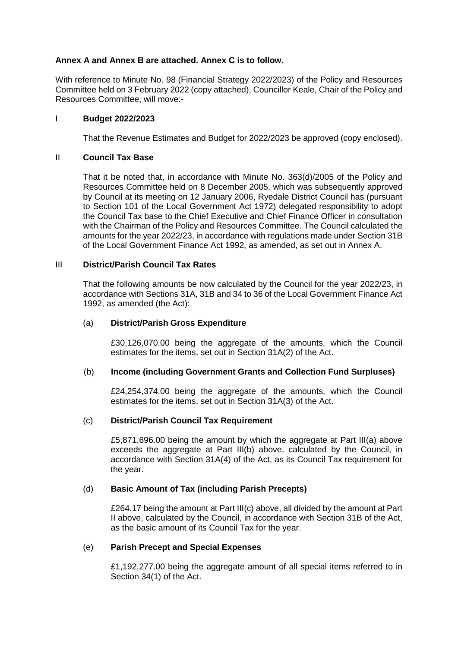## **Annex A and Annex B are attached. Annex C is to follow.**

With reference to Minute No. 98 (Financial Strategy 2022/2023) of the Policy and Resources Committee held on 3 February 2022 (copy attached), Councillor Keale, Chair of the Policy and Resources Committee, will move:-

#### I **Budget 2022/2023**

That the Revenue Estimates and Budget for 2022/2023 be approved (copy enclosed).

#### II **Council Tax Base**

That it be noted that, in accordance with Minute No. 363(d)/2005 of the Policy and Resources Committee held on 8 December 2005, which was subsequently approved by Council at its meeting on 12 January 2006, Ryedale District Council has (pursuant to Section 101 of the Local Government Act 1972) delegated responsibility to adopt the Council Tax base to the Chief Executive and Chief Finance Officer in consultation with the Chairman of the Policy and Resources Committee. The Council calculated the amounts for the year 2022/23, in accordance with regulations made under Section 31B of the Local Government Finance Act 1992, as amended, as set out in Annex A.

#### III **District/Parish Council Tax Rates**

That the following amounts be now calculated by the Council for the year 2022/23, in accordance with Sections 31A, 31B and 34 to 36 of the Local Government Finance Act 1992, as amended (the Act):

#### (a) **District/Parish Gross Expenditure**

£30,126,070.00 being the aggregate of the amounts, which the Council estimates for the items, set out in Section 31A(2) of the Act.

## (b) **Income (including Government Grants and Collection Fund Surpluses)**

£24,254,374.00 being the aggregate of the amounts, which the Council estimates for the items, set out in Section 31A(3) of the Act.

## (c) **District/Parish Council Tax Requirement**

£5,871,696.00 being the amount by which the aggregate at Part III(a) above exceeds the aggregate at Part III(b) above, calculated by the Council, in accordance with Section 31A(4) of the Act, as its Council Tax requirement for the year.

## (d) **Basic Amount of Tax (including Parish Precepts)**

£264.17 being the amount at Part III(c) above, all divided by the amount at Part II above, calculated by the Council, in accordance with Section 31B of the Act, as the basic amount of its Council Tax for the year.

#### (e) **Parish Precept and Special Expenses**

£1,192,277.00 being the aggregate amount of all special items referred to in Section 34(1) of the Act.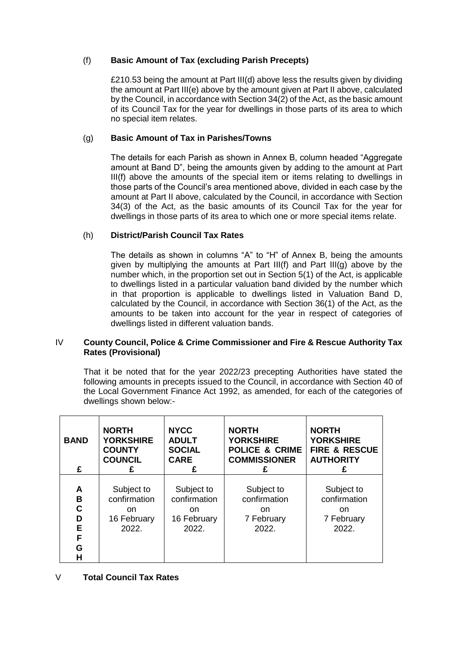# (f) **Basic Amount of Tax (excluding Parish Precepts)**

£210.53 being the amount at Part III(d) above less the results given by dividing the amount at Part III(e) above by the amount given at Part II above, calculated by the Council, in accordance with Section 34(2) of the Act, as the basic amount of its Council Tax for the year for dwellings in those parts of its area to which no special item relates.

# (g) **Basic Amount of Tax in Parishes/Towns**

The details for each Parish as shown in Annex B, column headed "Aggregate amount at Band D", being the amounts given by adding to the amount at Part III(f) above the amounts of the special item or items relating to dwellings in those parts of the Council's area mentioned above, divided in each case by the amount at Part II above, calculated by the Council, in accordance with Section 34(3) of the Act, as the basic amounts of its Council Tax for the year for dwellings in those parts of its area to which one or more special items relate.

# (h) **District/Parish Council Tax Rates**

The details as shown in columns "A" to "H" of Annex B, being the amounts given by multiplying the amounts at Part III(f) and Part III(g) above by the number which, in the proportion set out in Section 5(1) of the Act, is applicable to dwellings listed in a particular valuation band divided by the number which in that proportion is applicable to dwellings listed in Valuation Band D, calculated by the Council, in accordance with Section 36(1) of the Act, as the amounts to be taken into account for the year in respect of categories of dwellings listed in different valuation bands.

## IV **County Council, Police & Crime Commissioner and Fire & Rescue Authority Tax Rates (Provisional)**

That it be noted that for the year 2022/23 precepting Authorities have stated the following amounts in precepts issued to the Council, in accordance with Section 40 of the Local Government Finance Act 1992, as amended, for each of the categories of dwellings shown below:-

| <b>BAND</b><br>£                     | <b>NORTH</b><br><b>YORKSHIRE</b><br><b>COUNTY</b><br><b>COUNCIL</b><br>£ | <b>NYCC</b><br><b>ADULT</b><br><b>SOCIAL</b><br><b>CARE</b><br>£ | <b>NORTH</b><br><b>YORKSHIRE</b><br><b>POLICE &amp; CRIME</b><br><b>COMMISSIONER</b><br>£ | <b>NORTH</b><br><b>YORKSHIRE</b><br><b>FIRE &amp; RESCUE</b><br><b>AUTHORITY</b> |
|--------------------------------------|--------------------------------------------------------------------------|------------------------------------------------------------------|-------------------------------------------------------------------------------------------|----------------------------------------------------------------------------------|
| A<br>B<br>C<br>D<br>E<br>F<br>Ġ<br>н | Subject to<br>confirmation<br><sub>on</sub><br>16 February<br>2022.      | Subject to<br>confirmation<br>on.<br>16 February<br>2022.        | Subject to<br>confirmation<br>on.<br>7 February<br>2022.                                  | Subject to<br>confirmation<br>on.<br>7 February<br>2022.                         |